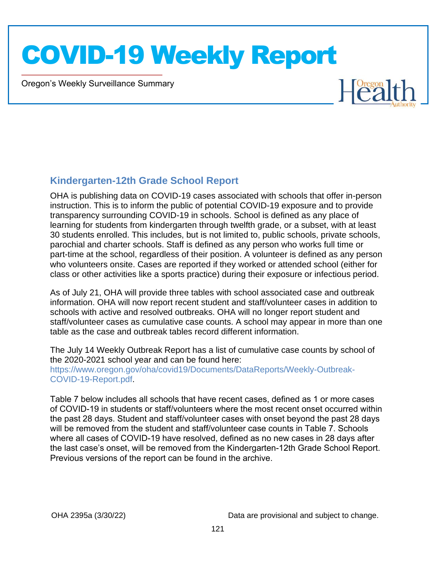Oregon's Weekly Surveillance Summary

Novel Coronavirus (COVID-19)



#### **Kindergarten-12th Grade School Report**

OHA is publishing data on COVID-19 cases associated with schools that offer in-person instruction. This is to inform the public of potential COVID-19 exposure and to provide transparency surrounding COVID-19 in schools. School is defined as any place of learning for students from kindergarten through twelfth grade, or a subset, with at least 30 students enrolled. This includes, but is not limited to, public schools, private schools, parochial and charter schools. Staff is defined as any person who works full time or part-time at the school, regardless of their position. A volunteer is defined as any person who volunteers onsite. Cases are reported if they worked or attended school (either for class or other activities like a sports practice) during their exposure or infectious period.

As of July 21, OHA will provide three tables with school associated case and outbreak information. OHA will now report recent student and staff/volunteer cases in addition to schools with active and resolved outbreaks. OHA will no longer report student and staff/volunteer cases as cumulative case counts. A school may appear in more than one table as the case and outbreak tables record different information.

The July 14 Weekly Outbreak Report has a list of cumulative case counts by school of the 2020-2021 school year and can be found here: https://www.oregon.gov/oha/covid19/Documents/DataReports/Weekly-Outbreak-COVID-19-Report.pdf.

Table 7 below includes all schools that have recent cases, defined as 1 or more cases of COVID-19 in students or staff/volunteers where the most recent onset occurred within the past 28 days. Student and staff/volunteer cases with onset beyond the past 28 days will be removed from the student and staff/volunteer case counts in Table 7. Schools where all cases of COVID-19 have resolved, defined as no new cases in 28 days after the last case's onset, will be removed from the Kindergarten-12th Grade School Report. Previous versions of the report can be found in the archive.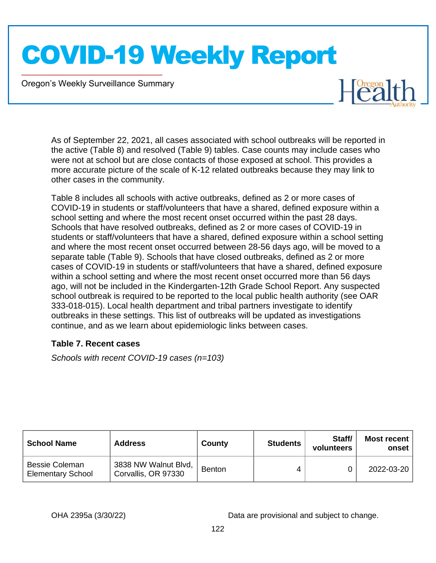Oregon's Weekly Surveillance Summary

Novel Coronavirus (COVID-19)

 $L$ <sup>Oregon</sup>

As of September 22, 2021, all cases associated with school outbreaks will be reported in the active (Table 8) and resolved (Table 9) tables. Case counts may include cases who were not at school but are close contacts of those exposed at school. This provides a more accurate picture of the scale of K-12 related outbreaks because they may link to other cases in the community.

Table 8 includes all schools with active outbreaks, defined as 2 or more cases of COVID-19 in students or staff/volunteers that have a shared, defined exposure within a school setting and where the most recent onset occurred within the past 28 days. Schools that have resolved outbreaks, defined as 2 or more cases of COVID-19 in students or staff/volunteers that have a shared, defined exposure within a school setting and where the most recent onset occurred between 28-56 days ago, will be moved to a separate table (Table 9). Schools that have closed outbreaks, defined as 2 or more cases of COVID-19 in students or staff/volunteers that have a shared, defined exposure within a school setting and where the most recent onset occurred more than 56 days ago, will not be included in the Kindergarten-12th Grade School Report. Any suspected school outbreak is required to be reported to the local public health authority (see OAR 333-018-015). Local health department and tribal partners investigate to identify outbreaks in these settings. This list of outbreaks will be updated as investigations continue, and as we learn about epidemiologic links between cases.

#### **Table 7. Recent cases**

*Schools with recent COVID-19 cases (n=103)*

| <b>School Name</b>                                | <b>Address</b>                              | County        | <b>Students</b> | Staff/<br>volunteers | <b>Most recent</b><br>onset |
|---------------------------------------------------|---------------------------------------------|---------------|-----------------|----------------------|-----------------------------|
| <b>Bessie Coleman</b><br><b>Elementary School</b> | 3838 NW Walnut Blvd,<br>Corvallis, OR 97330 | <b>Benton</b> |                 |                      | 2022-03-20                  |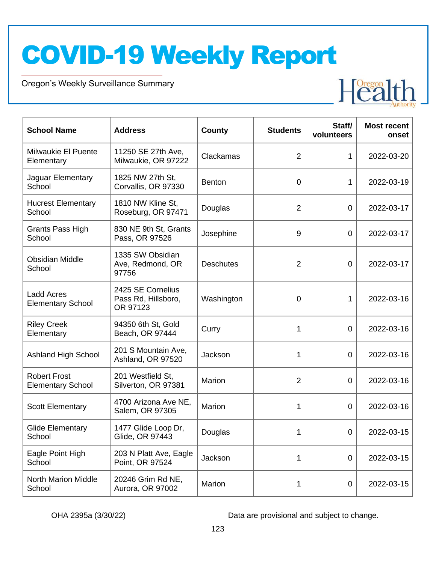Oregon's Weekly Surveillance Summary

Novel Coronavirus (COVID-19)



| <b>School Name</b>                              | <b>Address</b>                                       | <b>County</b>    | <b>Students</b> | Staff/<br>volunteers | <b>Most recent</b><br>onset |
|-------------------------------------------------|------------------------------------------------------|------------------|-----------------|----------------------|-----------------------------|
| <b>Milwaukie El Puente</b><br>Elementary        | 11250 SE 27th Ave,<br>Milwaukie, OR 97222            | Clackamas        | $\overline{2}$  | 1                    | 2022-03-20                  |
| Jaguar Elementary<br>School                     | 1825 NW 27th St,<br>Corvallis, OR 97330              | Benton           | $\mathbf 0$     | 1                    | 2022-03-19                  |
| <b>Hucrest Elementary</b><br>School             | 1810 NW Kline St.<br>Roseburg, OR 97471              | Douglas          | $\overline{2}$  | $\mathbf 0$          | 2022-03-17                  |
| <b>Grants Pass High</b><br>School               | 830 NE 9th St, Grants<br>Pass, OR 97526              | Josephine        | 9               | $\mathbf 0$          | 2022-03-17                  |
| <b>Obsidian Middle</b><br>School                | 1335 SW Obsidian<br>Ave, Redmond, OR<br>97756        | <b>Deschutes</b> | 2               | $\overline{0}$       | 2022-03-17                  |
| <b>Ladd Acres</b><br><b>Elementary School</b>   | 2425 SE Cornelius<br>Pass Rd, Hillsboro,<br>OR 97123 | Washington       | 0               | 1                    | 2022-03-16                  |
| <b>Riley Creek</b><br>Elementary                | 94350 6th St, Gold<br>Beach, OR 97444                | Curry            | 1               | $\mathbf 0$          | 2022-03-16                  |
| <b>Ashland High School</b>                      | 201 S Mountain Ave,<br>Ashland, OR 97520             | Jackson          | 1               | $\mathbf 0$          | 2022-03-16                  |
| <b>Robert Frost</b><br><b>Elementary School</b> | 201 Westfield St,<br>Silverton, OR 97381             | Marion           | $\overline{2}$  | 0                    | 2022-03-16                  |
| <b>Scott Elementary</b>                         | 4700 Arizona Ave NE,<br>Salem, OR 97305              | Marion           | 1               | 0                    | 2022-03-16                  |
| <b>Glide Elementary</b><br>School               | 1477 Glide Loop Dr,<br>Glide, OR 97443               | Douglas          | 1               | $\Omega$             | 2022-03-15                  |
| Eagle Point High<br>School                      | 203 N Platt Ave, Eagle<br>Point, OR 97524            | Jackson          | 1               | $\mathbf 0$          | 2022-03-15                  |
| <b>North Marion Middle</b><br>School            | 20246 Grim Rd NE,<br>Aurora, OR 97002                | Marion           | 1               | $\mathbf 0$          | 2022-03-15                  |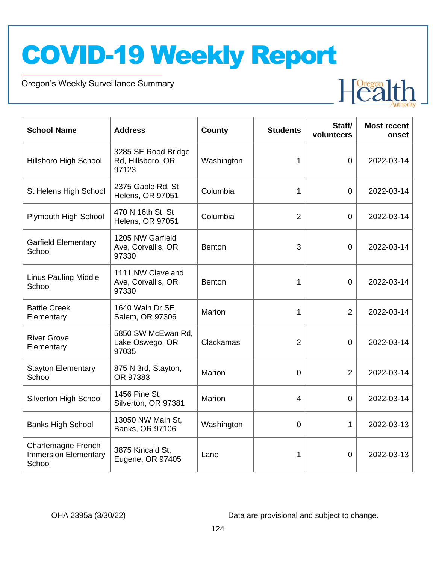Oregon's Weekly Surveillance Summary

Novel Coronavirus (COVID-19)



| <b>School Name</b>                                                 | <b>Address</b>                                    | County        | <b>Students</b> | Staff/<br>volunteers | <b>Most recent</b><br>onset |
|--------------------------------------------------------------------|---------------------------------------------------|---------------|-----------------|----------------------|-----------------------------|
| <b>Hillsboro High School</b>                                       | 3285 SE Rood Bridge<br>Rd, Hillsboro, OR<br>97123 | Washington    | 1               | $\overline{0}$       | 2022-03-14                  |
| St Helens High School                                              | 2375 Gable Rd, St<br>Helens, OR 97051             | Columbia      | 1               | $\overline{0}$       | 2022-03-14                  |
| Plymouth High School                                               | 470 N 16th St, St<br><b>Helens, OR 97051</b>      | Columbia      | $\overline{2}$  | 0                    | 2022-03-14                  |
| <b>Garfield Elementary</b><br>School                               | 1205 NW Garfield<br>Ave, Corvallis, OR<br>97330   | <b>Benton</b> | 3               | $\overline{0}$       | 2022-03-14                  |
| <b>Linus Pauling Middle</b><br>School                              | 1111 NW Cleveland<br>Ave, Corvallis, OR<br>97330  | <b>Benton</b> | 1               | $\overline{0}$       | 2022-03-14                  |
| <b>Battle Creek</b><br>Elementary                                  | 1640 Waln Dr SE,<br>Salem, OR 97306               | <b>Marion</b> | 1               | $\overline{2}$       | 2022-03-14                  |
| <b>River Grove</b><br>Elementary                                   | 5850 SW McEwan Rd,<br>Lake Oswego, OR<br>97035    | Clackamas     | $\overline{2}$  | $\overline{0}$       | 2022-03-14                  |
| <b>Stayton Elementary</b><br>School                                | 875 N 3rd, Stayton,<br>OR 97383                   | Marion        | $\overline{0}$  | $\overline{2}$       | 2022-03-14                  |
| <b>Silverton High School</b>                                       | 1456 Pine St.<br>Silverton, OR 97381              | Marion        | $\overline{4}$  | $\overline{0}$       | 2022-03-14                  |
| <b>Banks High School</b>                                           | 13050 NW Main St.<br>Banks, OR 97106              | Washington    | $\Omega$        | 1                    | 2022-03-13                  |
| <b>Charlemagne French</b><br><b>Immersion Elementary</b><br>School | 3875 Kincaid St,<br>Eugene, OR 97405              | Lane          | 1               | $\overline{0}$       | 2022-03-13                  |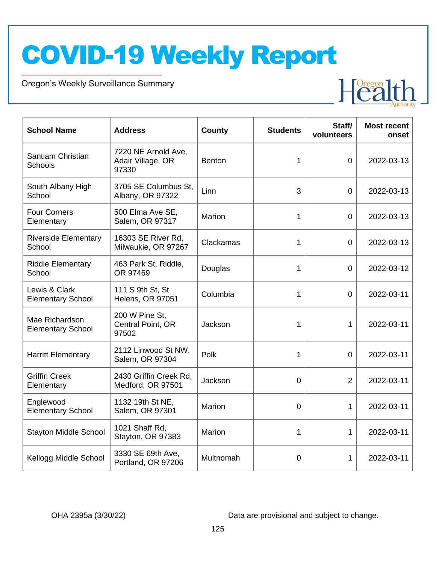Oregon's Weekly Surveillance Summary

Novel Coronavirus (COVID-19)



| <b>School Name</b>                         | <b>Address</b>                                    | <b>Students</b><br>County |                | Staff/<br>volunteers | <b>Most recent</b><br>onset |
|--------------------------------------------|---------------------------------------------------|---------------------------|----------------|----------------------|-----------------------------|
| Santiam Christian<br><b>Schools</b>        | 7220 NE Arnold Ave,<br>Adair Village, OR<br>97330 | <b>Benton</b>             | 1              | $\overline{0}$       | 2022-03-13                  |
| South Albany High<br>School                | 3705 SE Columbus St.<br>Albany, OR 97322          | Linn                      | 3              | $\overline{0}$       | 2022-03-13                  |
| <b>Four Corners</b><br>Elementary          | 500 Elma Ave SE,<br>Salem, OR 97317               | Marion                    | 1              | $\overline{0}$       | 2022-03-13                  |
| <b>Riverside Elementary</b><br>School      | 16303 SE River Rd,<br>Milwaukie, OR 97267         | Clackamas                 | 1              | $\overline{0}$       | 2022-03-13                  |
| <b>Riddle Elementary</b><br>School         | 463 Park St, Riddle,<br>OR 97469                  | Douglas                   | 1              | $\overline{0}$       | 2022-03-12                  |
| Lewis & Clark<br><b>Elementary School</b>  | 111 S 9th St, St<br><b>Helens, OR 97051</b>       | Columbia                  | 1              | $\overline{0}$       | 2022-03-11                  |
| Mae Richardson<br><b>Elementary School</b> | 200 W Pine St,<br>Central Point, OR<br>97502      | Jackson                   | 1              | $\mathbf{1}$         | 2022-03-11                  |
| <b>Harritt Elementary</b>                  | 2112 Linwood St NW,<br>Salem, OR 97304            | Polk                      | 1              | $\mathbf 0$          | 2022-03-11                  |
| <b>Griffin Creek</b><br>Elementary         | 2430 Griffin Creek Rd,<br>Medford, OR 97501       | Jackson                   | $\overline{0}$ | $\overline{2}$       | 2022-03-11                  |
| Englewood<br><b>Elementary School</b>      | 1132 19th St NE,<br>Salem, OR 97301               | Marion                    | $\overline{0}$ | 1                    | 2022-03-11                  |
| <b>Stayton Middle School</b>               | 1021 Shaff Rd,<br>Stayton, OR 97383               | <b>Marion</b>             | 1              | $\mathbf{1}$         | 2022-03-11                  |
| Kellogg Middle School                      | 3330 SE 69th Ave,<br>Portland, OR 97206           | Multnomah                 | 0              | 1                    | 2022-03-11                  |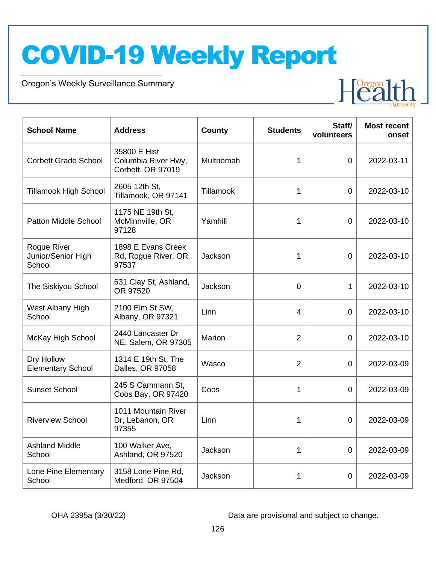Oregon's Weekly Surveillance Summary

Novel Coronavirus (COVID-19)



| <b>School Name</b>                          | <b>Address</b>                                           | County        | <b>Students</b> | Staff/<br>volunteers | <b>Most recent</b><br>onset |
|---------------------------------------------|----------------------------------------------------------|---------------|-----------------|----------------------|-----------------------------|
| <b>Corbett Grade School</b>                 | 35800 E Hist<br>Columbia River Hwy,<br>Corbett, OR 97019 | Multnomah     | 1               | 0                    | 2022-03-11                  |
| <b>Tillamook High School</b>                | 2605 12th St,<br>Tillamook, OR 97141                     | Tillamook     | 1               | 0                    | 2022-03-10                  |
| <b>Patton Middle School</b>                 | 1175 NE 19th St,<br>McMinnville, OR<br>97128             | Yamhill       | 1               | 0                    | 2022-03-10                  |
| Rogue River<br>Junior/Senior High<br>School | 1898 E Evans Creek<br>Rd, Rogue River, OR<br>97537       | Jackson       | 1               | $\overline{0}$       | 2022-03-10                  |
| The Siskiyou School                         | 631 Clay St, Ashland,<br>OR 97520                        | Jackson       | $\overline{0}$  | 1                    | 2022-03-10                  |
| West Albany High<br>School                  | 2100 Elm St SW,<br>Albany, OR 97321                      | Linn          | $\overline{4}$  | $\Omega$             | 2022-03-10                  |
| McKay High School                           | 2440 Lancaster Dr<br>NE, Salem, OR 97305                 | <b>Marion</b> | $\overline{2}$  | 0                    | 2022-03-10                  |
| Dry Hollow<br><b>Elementary School</b>      | 1314 E 19th St, The<br>Dalles, OR 97058                  | Wasco         | $\overline{2}$  | $\overline{0}$       | 2022-03-09                  |
| <b>Sunset School</b>                        | 245 S Cammann St,<br>Coos Bay, OR 97420                  | Coos          | 1               | 0                    | 2022-03-09                  |
| <b>Riverview School</b>                     | 1011 Mountain River<br>Dr, Lebanon, OR<br>97355          | Linn          | 1               | 0                    | 2022-03-09                  |
| <b>Ashland Middle</b><br>School             | 100 Walker Ave,<br>Ashland, OR 97520                     | Jackson       | 1               | 0                    | 2022-03-09                  |
| Lone Pine Elementary<br>School              | 3158 Lone Pine Rd,<br>Medford, OR 97504                  | Jackson       | 1               | 0                    | 2022-03-09                  |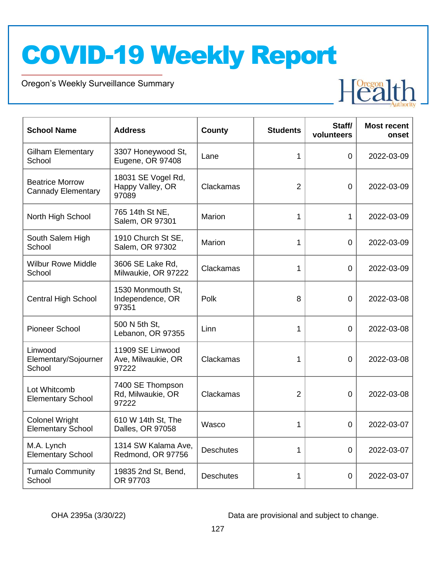Oregon's Weekly Surveillance Summary

Novel Coronavirus (COVID-19)



| <b>School Name</b>                                  | <b>Address</b>                                  | <b>County</b>    | <b>Students</b> | Staff/<br>volunteers | <b>Most recent</b><br>onset |
|-----------------------------------------------------|-------------------------------------------------|------------------|-----------------|----------------------|-----------------------------|
| <b>Gilham Elementary</b><br>School                  | 3307 Honeywood St,<br>Eugene, OR 97408          | Lane             | 1               | 0                    | 2022-03-09                  |
| <b>Beatrice Morrow</b><br><b>Cannady Elementary</b> | 18031 SE Vogel Rd,<br>Happy Valley, OR<br>97089 | Clackamas        | $\overline{2}$  | $\overline{0}$       | 2022-03-09                  |
| North High School                                   | 765 14th St NE,<br>Salem, OR 97301              | <b>Marion</b>    | 1               | 1                    | 2022-03-09                  |
| South Salem High<br>School                          | 1910 Church St SE,<br>Salem, OR 97302           | Marion           | 1               | $\overline{0}$       | 2022-03-09                  |
| <b>Wilbur Rowe Middle</b><br>School                 | 3606 SE Lake Rd.<br>Milwaukie, OR 97222         | Clackamas        | 1               | $\overline{0}$       | 2022-03-09                  |
| <b>Central High School</b>                          | 1530 Monmouth St,<br>Independence, OR<br>97351  | Polk             | 8               | $\overline{0}$       | 2022-03-08                  |
| <b>Pioneer School</b>                               | 500 N 5th St,<br>Lebanon, OR 97355              | Linn             | 1               | $\overline{0}$       | 2022-03-08                  |
| Linwood<br>Elementary/Sojourner<br>School           | 11909 SE Linwood<br>Ave, Milwaukie, OR<br>97222 | Clackamas        | 1               | 0                    | 2022-03-08                  |
| Lot Whitcomb<br><b>Elementary School</b>            | 7400 SE Thompson<br>Rd, Milwaukie, OR<br>97222  | Clackamas        | $\overline{2}$  | 0                    | 2022-03-08                  |
| <b>Colonel Wright</b><br><b>Elementary School</b>   | 610 W 14th St, The<br>Dalles, OR 97058          | Wasco            | 1               | 0                    | 2022-03-07                  |
| M.A. Lynch<br><b>Elementary School</b>              | 1314 SW Kalama Ave,<br>Redmond, OR 97756        | <b>Deschutes</b> | 1               | $\overline{0}$       | 2022-03-07                  |
| <b>Tumalo Community</b><br>School                   | 19835 2nd St, Bend,<br>OR 97703                 | <b>Deschutes</b> | 1               | 0                    | 2022-03-07                  |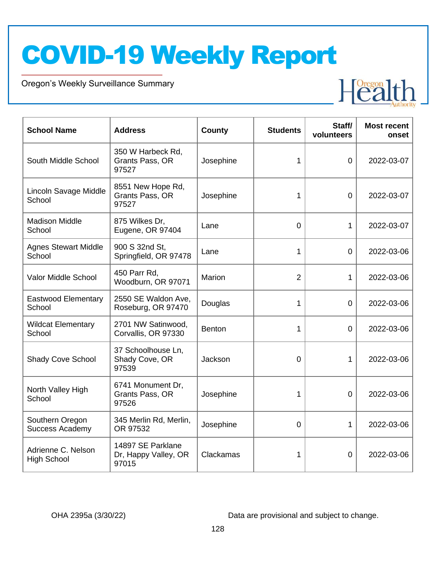Oregon's Weekly Surveillance Summary

Novel Coronavirus (COVID-19)



| <b>School Name</b>                        | <b>Address</b>                                     | <b>County</b> | <b>Students</b> | Staff/<br>volunteers | <b>Most recent</b><br>onset |
|-------------------------------------------|----------------------------------------------------|---------------|-----------------|----------------------|-----------------------------|
| South Middle School                       | 350 W Harbeck Rd,<br>Grants Pass, OR<br>97527      | Josephine     | 1               | $\overline{0}$       | 2022-03-07                  |
| Lincoln Savage Middle<br>School           | 8551 New Hope Rd,<br>Grants Pass, OR<br>97527      | Josephine     | 1               | $\overline{0}$       | 2022-03-07                  |
| <b>Madison Middle</b><br>School           | 875 Wilkes Dr,<br>Eugene, OR 97404                 | Lane          | $\overline{0}$  | 1                    | 2022-03-07                  |
| <b>Agnes Stewart Middle</b><br>School     | 900 S 32nd St,<br>Springfield, OR 97478            | Lane          | 1               | $\overline{0}$       | 2022-03-06                  |
| Valor Middle School                       | 450 Parr Rd,<br>Woodburn, OR 97071                 | Marion        | $\overline{2}$  | $\mathbf{1}$         | 2022-03-06                  |
| <b>Eastwood Elementary</b><br>School      | 2550 SE Waldon Ave,<br>Roseburg, OR 97470          | Douglas       | 1               | $\overline{0}$       | 2022-03-06                  |
| <b>Wildcat Elementary</b><br>School       | 2701 NW Satinwood,<br>Corvallis, OR 97330          | Benton        | $\mathbf 1$     | 0                    | 2022-03-06                  |
| <b>Shady Cove School</b>                  | 37 Schoolhouse Ln,<br>Shady Cove, OR<br>97539      | Jackson       | $\overline{0}$  | 1                    | 2022-03-06                  |
| North Valley High<br>School               | 6741 Monument Dr,<br>Grants Pass, OR<br>97526      | Josephine     | 1               | $\overline{0}$       | 2022-03-06                  |
| Southern Oregon<br><b>Success Academy</b> | 345 Merlin Rd, Merlin,<br>OR 97532                 | Josephine     | $\Omega$        | 1                    | 2022-03-06                  |
| Adrienne C. Nelson<br><b>High School</b>  | 14897 SE Parklane<br>Dr, Happy Valley, OR<br>97015 | Clackamas     | 1               | 0                    | 2022-03-06                  |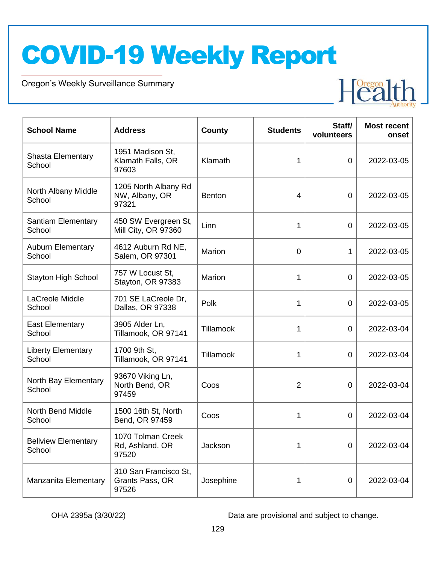Oregon's Weekly Surveillance Summary

Novel Coronavirus (COVID-19)



| <b>School Name</b>                   | <b>Address</b>                                    | <b>County</b> | <b>Students</b> | Staff/<br>volunteers | <b>Most recent</b><br>onset |
|--------------------------------------|---------------------------------------------------|---------------|-----------------|----------------------|-----------------------------|
| <b>Shasta Elementary</b><br>School   | 1951 Madison St,<br>Klamath Falls, OR<br>97603    | Klamath       | 1               | $\overline{0}$       | 2022-03-05                  |
| North Albany Middle<br>School        | 1205 North Albany Rd<br>NW, Albany, OR<br>97321   | <b>Benton</b> | 4               | $\mathbf 0$          | 2022-03-05                  |
| <b>Santiam Elementary</b><br>School  | 450 SW Evergreen St,<br>Mill City, OR 97360       | Linn          | $\mathbf{1}$    | $\mathbf 0$          | 2022-03-05                  |
| <b>Auburn Elementary</b><br>School   | 4612 Auburn Rd NE,<br>Salem, OR 97301             | Marion        | $\mathbf 0$     | 1                    | 2022-03-05                  |
| <b>Stayton High School</b>           | 757 W Locust St,<br>Stayton, OR 97383             | Marion        | 1               | $\overline{0}$       | 2022-03-05                  |
| LaCreole Middle<br>School            | 701 SE LaCreole Dr,<br>Dallas, OR 97338           | Polk          | 1               | 0                    | 2022-03-05                  |
| <b>East Elementary</b><br>School     | 3905 Alder Ln,<br>Tillamook, OR 97141             | Tillamook     | 1               | 0                    | 2022-03-04                  |
| <b>Liberty Elementary</b><br>School  | 1700 9th St,<br>Tillamook, OR 97141               | Tillamook     | 1               | 0                    | 2022-03-04                  |
| North Bay Elementary<br>School       | 93670 Viking Ln,<br>North Bend, OR<br>97459       | Coos          | $\overline{2}$  | 0                    | 2022-03-04                  |
| <b>North Bend Middle</b><br>School   | 1500 16th St, North<br>Bend, OR 97459             | Coos          | 1               | 0                    | 2022-03-04                  |
| <b>Bellview Elementary</b><br>School | 1070 Tolman Creek<br>Rd, Ashland, OR<br>97520     | Jackson       |                 | $\overline{0}$       | 2022-03-04                  |
| <b>Manzanita Elementary</b>          | 310 San Francisco St,<br>Grants Pass, OR<br>97526 | Josephine     | 1               | $\mathbf 0$          | 2022-03-04                  |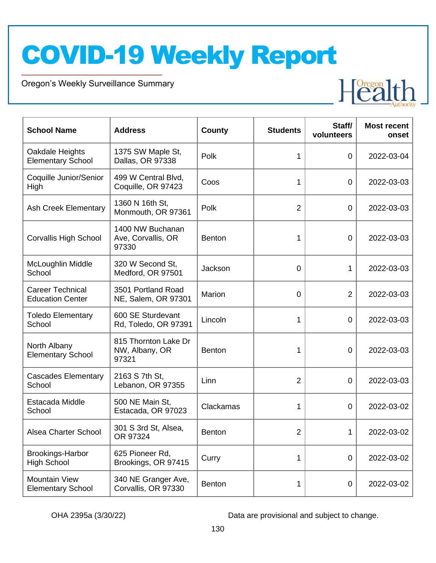Oregon's Weekly Surveillance Summary

Novel Coronavirus (COVID-19)



| <b>School Name</b>                                 | <b>Address</b>                                  | County        | <b>Students</b> | Staff/<br>volunteers | <b>Most recent</b><br>onset |
|----------------------------------------------------|-------------------------------------------------|---------------|-----------------|----------------------|-----------------------------|
| Oakdale Heights<br><b>Elementary School</b>        | 1375 SW Maple St,<br>Dallas, OR 97338           | Polk          | 1               | 0                    | 2022-03-04                  |
| Coquille Junior/Senior<br>High                     | 499 W Central Blvd,<br>Coquille, OR 97423       | Coos          | 1               | $\overline{0}$       | 2022-03-03                  |
| <b>Ash Creek Elementary</b>                        | 1360 N 16th St,<br>Monmouth, OR 97361           | Polk          | $\overline{2}$  | $\overline{0}$       | 2022-03-03                  |
| <b>Corvallis High School</b>                       | 1400 NW Buchanan<br>Ave, Corvallis, OR<br>97330 | <b>Benton</b> | 1               | $\mathbf 0$          | 2022-03-03                  |
| McLoughlin Middle<br>School                        | 320 W Second St.<br>Medford, OR 97501           | Jackson       | $\overline{0}$  | 1                    | 2022-03-03                  |
| <b>Career Technical</b><br><b>Education Center</b> | 3501 Portland Road<br>NE, Salem, OR 97301       | Marion        | $\overline{0}$  | $\overline{2}$       | 2022-03-03                  |
| <b>Toledo Elementary</b><br>School                 | 600 SE Sturdevant<br>Rd, Toledo, OR 97391       | Lincoln       | 1               | $\mathbf 0$          | 2022-03-03                  |
| North Albany<br><b>Elementary School</b>           | 815 Thornton Lake Dr<br>NW, Albany, OR<br>97321 | <b>Benton</b> | 1               | $\mathbf 0$          | 2022-03-03                  |
| <b>Cascades Elementary</b><br>School               | 2163 S 7th St,<br>Lebanon, OR 97355             | Linn          | 2               | $\overline{0}$       | 2022-03-03                  |
| Estacada Middle<br>School                          | 500 NE Main St,<br>Estacada, OR 97023           | Clackamas     | 1               | 0                    | 2022-03-02                  |
| Alsea Charter School                               | 301 S 3rd St, Alsea,<br>OR 97324                | <b>Benton</b> | 2               | 1                    | 2022-03-02                  |
| Brookings-Harbor<br><b>High School</b>             | 625 Pioneer Rd,<br>Brookings, OR 97415          | Curry         | 1               | 0                    | 2022-03-02                  |
| <b>Mountain View</b><br><b>Elementary School</b>   | 340 NE Granger Ave,<br>Corvallis, OR 97330      | <b>Benton</b> | 1               | $\mathbf 0$          | 2022-03-02                  |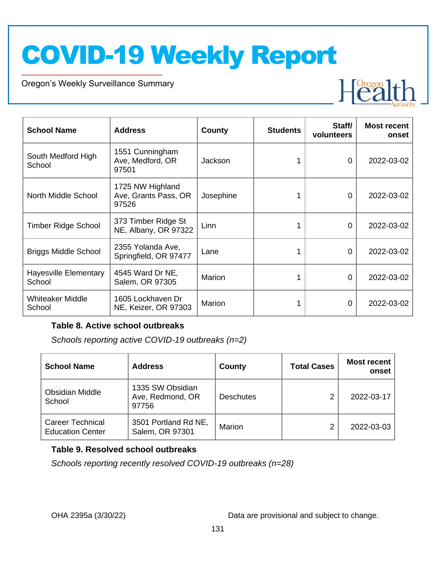Oregon's Weekly Surveillance Summary

Novel Coronavirus (COVID-19)



| <b>School Name</b>                     | <b>Address</b>                                    | County    | <b>Students</b> | Staff/<br>volunteers | <b>Most recent</b><br>onset |
|----------------------------------------|---------------------------------------------------|-----------|-----------------|----------------------|-----------------------------|
| South Medford High<br>School           | 1551 Cunningham<br>Ave, Medford, OR<br>97501      | Jackson   |                 | 0                    | 2022-03-02                  |
| North Middle School                    | 1725 NW Highland<br>Ave, Grants Pass, OR<br>97526 | Josephine |                 | 0                    | 2022-03-02                  |
| <b>Timber Ridge School</b>             | 373 Timber Ridge St<br>NE, Albany, OR 97322       | Linn      |                 | 0                    | 2022-03-02                  |
| <b>Briggs Middle School</b>            | 2355 Yolanda Ave,<br>Springfield, OR 97477        | Lane      |                 | 0                    | 2022-03-02                  |
| <b>Hayesville Elementary</b><br>School | 4545 Ward Dr NE,<br>Salem, OR 97305               | Marion    |                 | $\Omega$             | 2022-03-02                  |
| <b>Whiteaker Middle</b><br>School      | 1605 Lockhaven Dr<br>NE, Keizer, OR 97303         | Marion    |                 | 0                    | 2022-03-02                  |

#### **Table 8. Active school outbreaks**

*Schools reporting active COVID-19 outbreaks (n=2)*

| <b>School Name</b>                                 | <b>Address</b>                                | County           | <b>Total Cases</b> | <b>Most recent</b><br>onset |
|----------------------------------------------------|-----------------------------------------------|------------------|--------------------|-----------------------------|
| <b>Obsidian Middle</b><br>School                   | 1335 SW Obsidian<br>Ave, Redmond, OR<br>97756 | <b>Deschutes</b> |                    | 2022-03-17                  |
| <b>Career Technical</b><br><b>Education Center</b> | 3501 Portland Rd NE,<br>Salem, OR 97301       | Marion           |                    | 2022-03-03                  |

#### **Table 9. Resolved school outbreaks**

*Schools reporting recently resolved COVID-19 outbreaks (n=28)*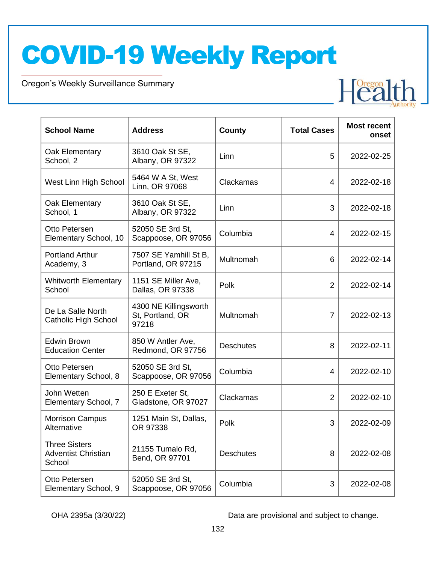Oregon's Weekly Surveillance Summary

Novel Coronavirus (COVID-19)

| <b>School Name</b>                                           | <b>Address</b>                                     | County           | <b>Total Cases</b> | <b>Most recent</b><br>onset |
|--------------------------------------------------------------|----------------------------------------------------|------------------|--------------------|-----------------------------|
| Oak Elementary<br>School, 2                                  | 3610 Oak St SE,<br>Albany, OR 97322                | Linn             | 5                  | 2022-02-25                  |
| West Linn High School                                        | 5464 W A St, West<br>Linn, OR 97068                | Clackamas        | $\overline{4}$     | 2022-02-18                  |
| Oak Elementary<br>School, 1                                  | 3610 Oak St SE,<br>Albany, OR 97322                | Linn             | 3                  | 2022-02-18                  |
| Otto Petersen<br>Elementary School, 10                       | 52050 SE 3rd St,<br>Scappoose, OR 97056            | Columbia         | 4                  | 2022-02-15                  |
| <b>Portland Arthur</b><br>Academy, 3                         | 7507 SE Yamhill St B,<br>Portland, OR 97215        | Multnomah        | 6                  | 2022-02-14                  |
| <b>Whitworth Elementary</b><br>School                        | 1151 SE Miller Ave,<br>Dallas, OR 97338            | Polk             | $\overline{2}$     | 2022-02-14                  |
| De La Salle North<br><b>Catholic High School</b>             | 4300 NE Killingsworth<br>St, Portland, OR<br>97218 | Multnomah        | $\overline{7}$     | 2022-02-13                  |
| Edwin Brown<br><b>Education Center</b>                       | 850 W Antler Ave,<br>Redmond, OR 97756             | <b>Deschutes</b> | 8                  | 2022-02-11                  |
| Otto Petersen<br>Elementary School, 8                        | 52050 SE 3rd St,<br>Scappoose, OR 97056            | Columbia         | $\overline{4}$     | 2022-02-10                  |
| John Wetten<br>Elementary School, 7                          | 250 E Exeter St,<br>Gladstone, OR 97027            | Clackamas        | $\overline{2}$     | 2022-02-10                  |
| <b>Morrison Campus</b><br>Alternative                        | 1251 Main St, Dallas,<br>OR 97338                  | Polk             | 3                  | 2022-02-09                  |
| <b>Three Sisters</b><br><b>Adventist Christian</b><br>School | 21155 Tumalo Rd,<br>Bend, OR 97701                 | <b>Deschutes</b> | 8                  | 2022-02-08                  |
| Otto Petersen<br>Elementary School, 9                        | 52050 SE 3rd St,<br>Scappoose, OR 97056            | Columbia         | 3                  | 2022-02-08                  |

OHA 2395a (3/30/22) Data are provisional and subject to change.

Health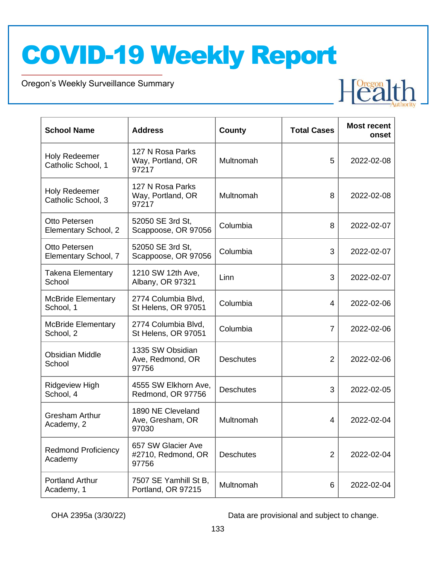Oregon's Weekly Surveillance Summary

Novel Coronavirus (COVID-19)



| <b>School Name</b>                         | <b>Address</b>                                    | County           | <b>Total Cases</b> | <b>Most recent</b><br>onset |
|--------------------------------------------|---------------------------------------------------|------------------|--------------------|-----------------------------|
| <b>Holy Redeemer</b><br>Catholic School, 1 | 127 N Rosa Parks<br>Way, Portland, OR<br>97217    | Multnomah        | 5                  | 2022-02-08                  |
| <b>Holy Redeemer</b><br>Catholic School, 3 | 127 N Rosa Parks<br>Way, Portland, OR<br>97217    | Multnomah        | 8                  | 2022-02-08                  |
| Otto Petersen<br>Elementary School, 2      | 52050 SE 3rd St,<br>Scappoose, OR 97056           | Columbia         | 8                  | 2022-02-07                  |
| Otto Petersen<br>Elementary School, 7      | 52050 SE 3rd St,<br>Scappoose, OR 97056           | Columbia         | 3                  | 2022-02-07                  |
| <b>Takena Elementary</b><br>School         | 1210 SW 12th Ave,<br>Albany, OR 97321             | Linn             | 3                  | 2022-02-07                  |
| <b>McBride Elementary</b><br>School, 1     | 2774 Columbia Blvd,<br>St Helens, OR 97051        | Columbia         | $\overline{4}$     | 2022-02-06                  |
| <b>McBride Elementary</b><br>School, 2     | 2774 Columbia Blvd,<br>St Helens, OR 97051        | Columbia         | $\overline{7}$     | 2022-02-06                  |
| <b>Obsidian Middle</b><br>School           | 1335 SW Obsidian<br>Ave, Redmond, OR<br>97756     | <b>Deschutes</b> | $\overline{2}$     | 2022-02-06                  |
| Ridgeview High<br>School, 4                | 4555 SW Elkhorn Ave,<br>Redmond, OR 97756         | <b>Deschutes</b> | 3                  | 2022-02-05                  |
| <b>Gresham Arthur</b><br>Academy, 2        | 1890 NE Cleveland<br>Ave, Gresham, OR<br>97030    | Multnomah        | $\overline{4}$     | 2022-02-04                  |
| <b>Redmond Proficiency</b><br>Academy      | 657 SW Glacier Ave<br>#2710, Redmond, OR<br>97756 | <b>Deschutes</b> | $\overline{2}$     | 2022-02-04                  |
| <b>Portland Arthur</b><br>Academy, 1       | 7507 SE Yamhill St B,<br>Portland, OR 97215       | Multnomah        | 6                  | 2022-02-04                  |